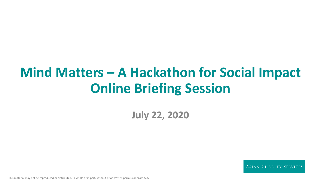# **Mind Matters – A Hackathon for Social Impact Online Briefing Session**

**July 22, 2020**

**ASIAN CHARITY SERVICES**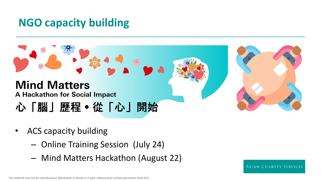### **NGO capacity building**

### **Mind Matters A Hackathon for Social Impact** 心「腦」歷程。從「心」開始

- ACS capacity building
	- Online Training Session (July 24)
	- Mind Matters Hackathon (August 22)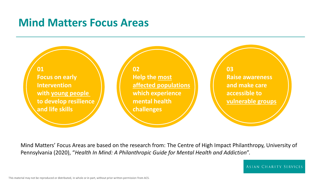### **Mind Matters Focus Areas**

**01 Focus on early Intervention with young people to develop resilience and life skills**

**02 Help the most affected populations which experience mental health challenges**

**03 Raise awareness and make care accessible to vulnerable groups**

Mind Matters' Focus Areas are based on the research from: The Centre of High Impact Philanthropy, University of Pennsylvania (2020), "*Health In Mind: A Philanthropic Guide for Mental Health and Addiction*".

ASIAN CHARITY SERVICES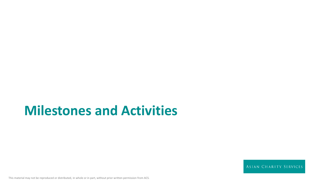## **Milestones and Activities**

ASIAN CHARITY SERVICES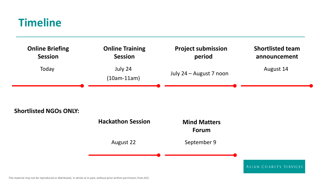### **Timeline**



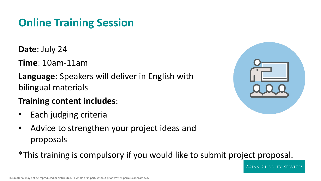## **Online Training Session**

- **Date**: July 24
- **Time**: 10am-11am
- **Language**: Speakers will deliver in English with bilingual materials
- **Training content includes**:
- Each judging criteria
- Advice to strengthen your project ideas and proposals

\*This training is compulsory if you would like to submit project proposal.



ASIAN CHARITY SERVICES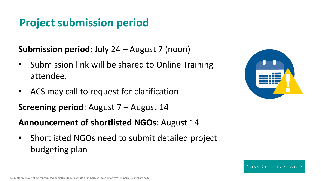### **Project submission period**

**Submission period**: July 24 – August 7 (noon)

- Submission link will be shared to Online Training attendee.
- ACS may call to request for clarification

**Screening period**: August 7 – August 14

#### **Announcement of shortlisted NGOs**: August 14

• Shortlisted NGOs need to submit detailed project budgeting plan

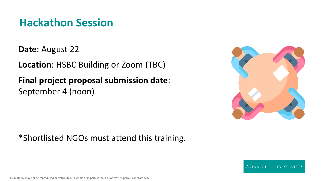### **Hackathon Session**

**Date**: August 22

**Location**: HSBC Building or Zoom (TBC)

**Final project proposal submission date**: September 4 (noon)



#### \*Shortlisted NGOs must attend this training.

**ASIAN CHARITY SERVICES**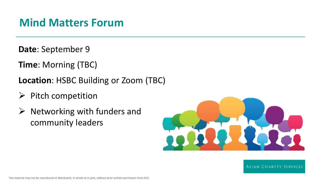### **Mind Matters Forum**

**Date**: September 9

- **Time**: Morning (TBC)
- **Location**: HSBC Building or Zoom (TBC)
- $\triangleright$  Pitch competition
- $\triangleright$  Networking with funders and community leaders



**ASIAN CHARITY SERVICES**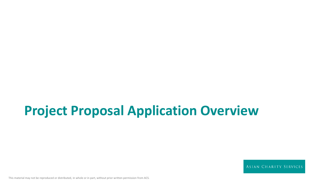## **Project Proposal Application Overview**

ASIAN CHARITY SERVICES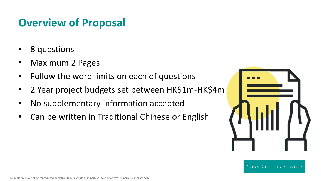### **Overview of Proposal**

- 8 questions
- Maximum 2 Pages
- Follow the word limits on each of questions
- 2 Year project budgets set between HK\$1m-HK\$4m
- No supplementary information accepted
- Can be written in Traditional Chinese or English

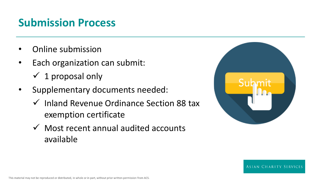### **Submission Process**

- Online submission
- Each organization can submit:  $\checkmark$  1 proposal only
- Supplementary documents needed:
	- $\checkmark$  Inland Revenue Ordinance Section 88 tax exemption certificate
	- $\checkmark$  Most recent annual audited accounts available



**ASIAN CHARITY SERVICES**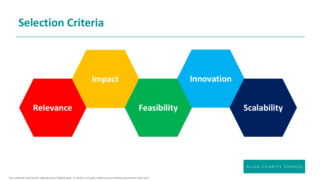### **Selection Criteria**



ASIAN CHARITY SERVICES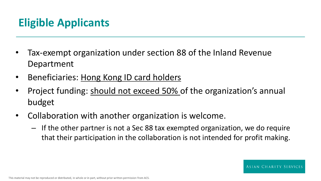## **Eligible Applicants**

- Tax-exempt organization under section 88 of the Inland Revenue Department
- Beneficiaries: Hong Kong ID card holders
- Project funding: should not exceed 50% of the organization's annual budget
- Collaboration with another organization is welcome.
	- If the other partner is not a Sec 88 tax exempted organization, we do require that their participation in the collaboration is not intended for profit making.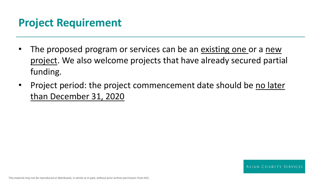### **Project Requirement**

- The proposed program or services can be an existing one or a new project. We also welcome projects that have already secured partial funding.
- Project period: the project commencement date should be no later than December 31, 2020